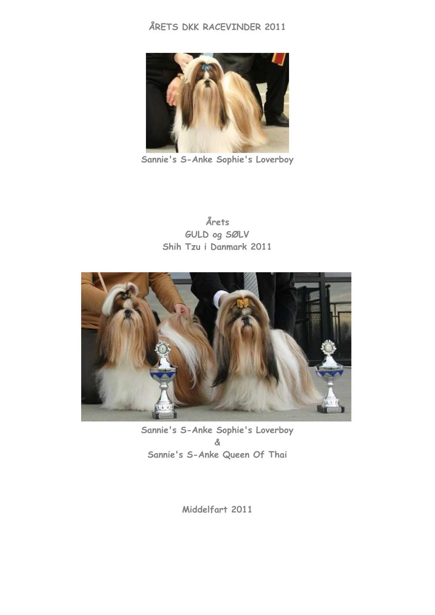## **ÅRETS DKK RACEVINDER 2011**



**Sannie's S-Anke Sophie's Loverboy**

**Årets GULD og SØLV Shih Tzu i Danmark 2011**



**Sannie's S-Anke Sophie's Loverboy & Sannie's S-Anke Queen Of Thai**

**Middelfart 2011**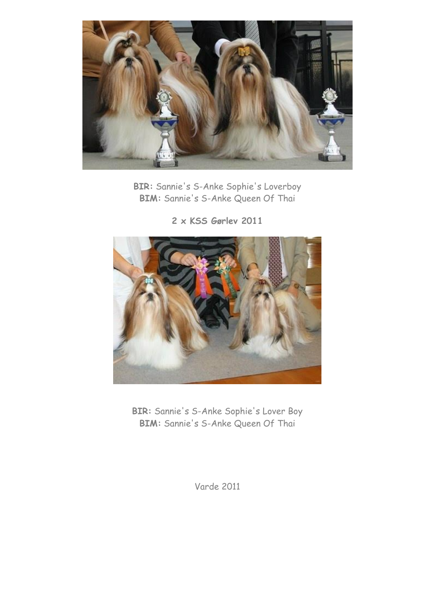

**BIR:** Sannie's S-Anke Sophie's Loverboy **BIM:** Sannie's S-Anke Queen Of Thai

**2 x KSS Gørlev 2011**



**BIR:** Sannie's S-Anke Sophie's Lover Boy **BIM:** Sannie's S-Anke Queen Of Thai

Varde 2011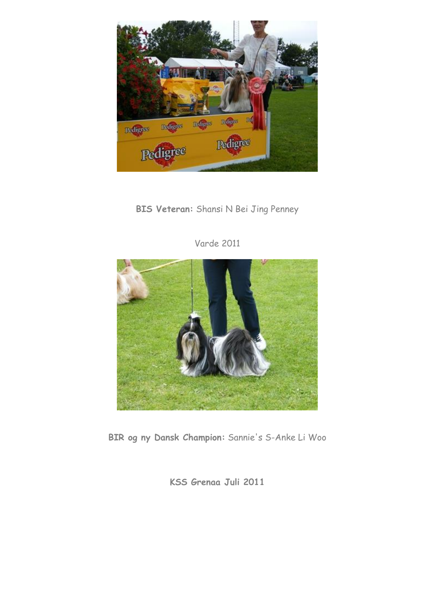

## **BIS Veteran:** Shansi N Bei Jing Penney



Varde 2011

**BIR og ny Dansk Champion:** Sannie's S-Anke Li Woo

**KSS Grenaa Juli 2011**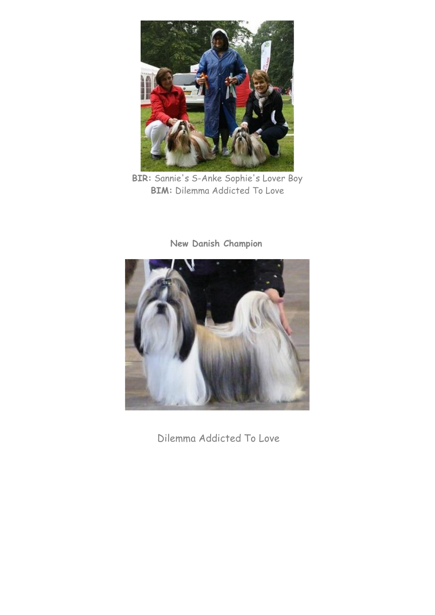

**BIR:** Sannie's S-Anke Sophie's Lover Boy **BIM:** Dilemma Addicted To Love



**New Danish Champion**

Dilemma Addicted To Love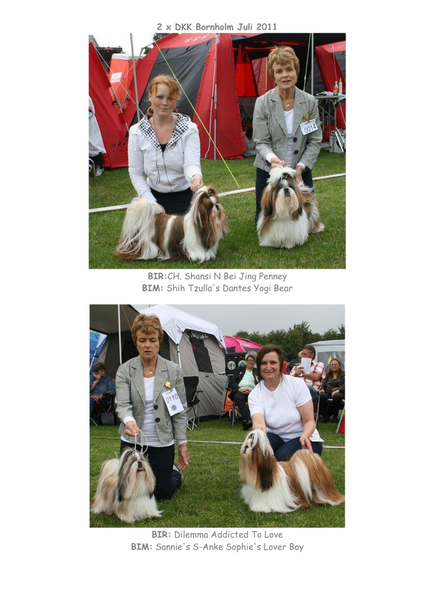**2 x DKK Bornholm Juli 2011**



**BIR:**CH. Shansi N Bei Jing Penney **BIM:** Shih Tzulla's Dantes Yogi Bear



**BIR:** Dilemma Addicted To Love **BIM:** Sannie's S-Anke Sophie's Lover Boy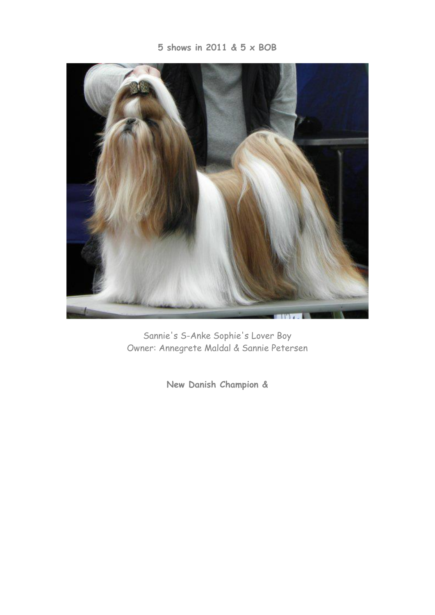

Sannie's S-Anke Sophie's Lover Boy Owner: Annegrete Maldal & Sannie Petersen

**New Danish Champion &**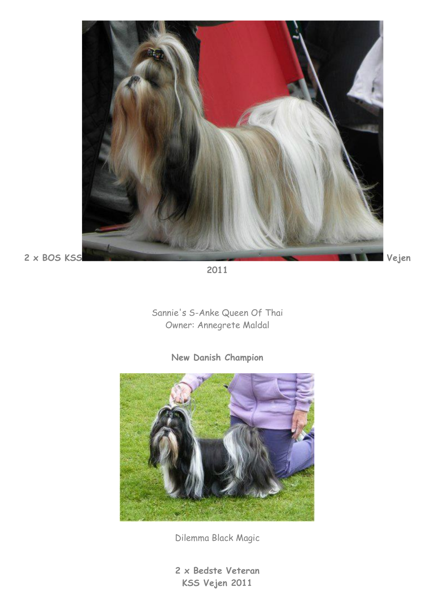

**2011**

Sannie's S-Anke Queen Of Thai Owner: Annegrete Maldal

**New Danish Champion**



Dilemma Black Magic

**2 x Bedste Veteran KSS Vejen 2011**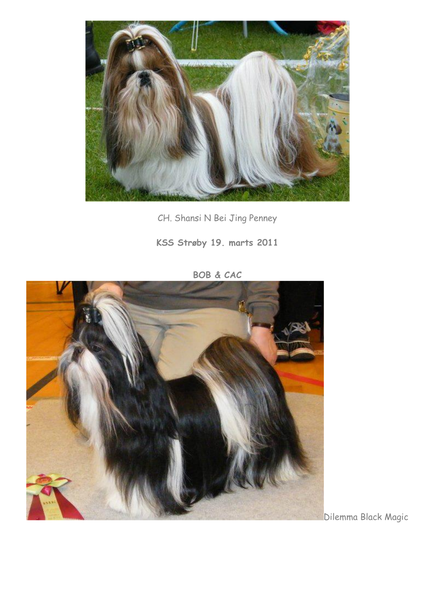

CH. Shansi N Bei Jing Penney

**KSS Strøby 19. marts 2011** 



**BOB & CAC**

Dilemma Black Magic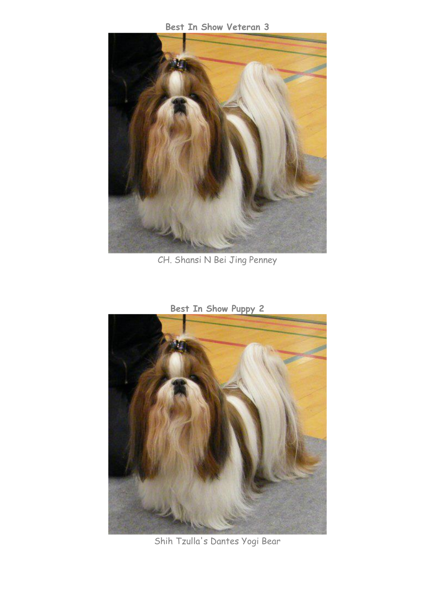**Best In Show Veteran 3**



CH. Shansi N Bei Jing Penney

**Best In Show Puppy 2**



Shih Tzulla's Dantes Yogi Bear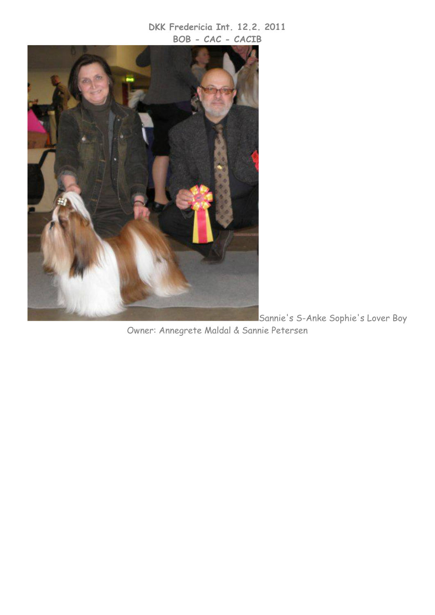## **DKK Fredericia Int. 12.2. 2011 BOB - CAC - CACIB**



Sannie's S-Anke Sophie's Lover Boy Owner: Annegrete Maldal & Sannie Petersen